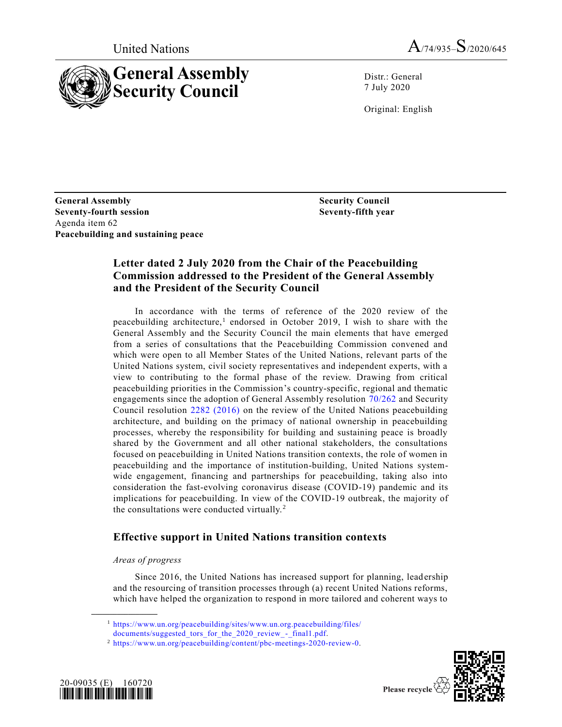



Distr.: General 7 July 2020

Original: English

**General Assembly Security Council Seventy-fourth session Seventy-fifth year** Agenda item 62 **Peacebuilding and sustaining peace**

# **Letter dated 2 July 2020 from the Chair of the Peacebuilding Commission addressed to the President of the General Assembly and the President of the Security Council**

In accordance with the terms of reference of the 2020 review of the peacebuilding architecture,<sup>1</sup> endorsed in October 2019, I wish to share with the General Assembly and the Security Council the main elements that have emerged from a series of consultations that the Peacebuilding Commission convened and which were open to all Member States of the United Nations, relevant parts of the United Nations system, civil society representatives and independent experts, with a view to contributing to the formal phase of the review. Drawing from critical peacebuilding priorities in the Commission's country-specific, regional and thematic engagements since the adoption of General Assembly resolution [70/262](https://undocs.org/en/A/RES/70/262) and Security Council resolution [2282 \(2016\)](https://undocs.org/en/S/RES/2282(2016)) on the review of the United Nations peacebuilding architecture, and building on the primacy of national ownership in peacebuilding processes, whereby the responsibility for building and sustaining peace is broadly shared by the Government and all other national stakeholders, the consultations focused on peacebuilding in United Nations transition contexts, the role of women in peacebuilding and the importance of institution-building, United Nations systemwide engagement, financing and partnerships for peacebuilding, taking also into consideration the fast-evolving coronavirus disease (COVID-19) pandemic and its implications for peacebuilding. In view of the COVID-19 outbreak, the majority of the consultations were conducted virtually. <sup>2</sup>

# **Effective support in United Nations transition contexts**

# *Areas of progress*

**\_\_\_\_\_\_\_\_\_\_\_\_\_\_\_\_\_\_**

Since 2016, the United Nations has increased support for planning, lead ership and the resourcing of transition processes through (a) recent United Nations reforms, which have helped the organization to respond in more tailored and coherent ways to

<sup>1</sup> [https://www.un.org/peacebuilding/sites/www.un.org.peacebuilding/files/](https://www.un.org/peacebuilding/sites/www.un.org.peacebuilding/files/%0bdocuments/suggested_tors_for_the_2020_review_-_final1.pdf)

<sup>2</sup> [https://www.un.org/peacebuilding/content/pbc-meetings-2020-review-0.](https://www.un.org/peacebuilding/content/pbc-meetings-2020-review-0)





Please recycle  $\overline{\mathcal{C}}$ 

[documents/suggested\\_tors\\_for\\_the\\_2020\\_review\\_-\\_final1.pdf.](https://www.un.org/peacebuilding/sites/www.un.org.peacebuilding/files/%0bdocuments/suggested_tors_for_the_2020_review_-_final1.pdf)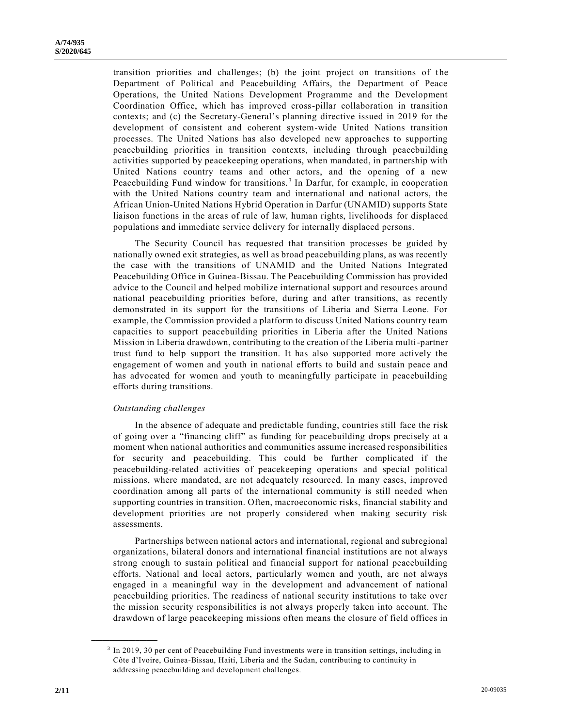transition priorities and challenges; (b) the joint project on transitions of t he Department of Political and Peacebuilding Affairs, the Department of Peace Operations, the United Nations Development Programme and the Development Coordination Office, which has improved cross-pillar collaboration in transition contexts; and (c) the Secretary-General's planning directive issued in 2019 for the development of consistent and coherent system-wide United Nations transition processes. The United Nations has also developed new approaches to supporting peacebuilding priorities in transition contexts, including through peacebuilding activities supported by peacekeeping operations, when mandated, in partnership with United Nations country teams and other actors, and the opening of a new Peacebuilding Fund window for transitions.<sup>3</sup> In Darfur, for example, in cooperation with the United Nations country team and international and national actors, the African Union-United Nations Hybrid Operation in Darfur (UNAMID) supports State liaison functions in the areas of rule of law, human rights, livelihoods for displaced populations and immediate service delivery for internally displaced persons.

The Security Council has requested that transition processes be guided by nationally owned exit strategies, as well as broad peacebuilding plans, as was recently the case with the transitions of UNAMID and the United Nations Integrated Peacebuilding Office in Guinea-Bissau. The Peacebuilding Commission has provided advice to the Council and helped mobilize international support and resources around national peacebuilding priorities before, during and after transitions, as recently demonstrated in its support for the transitions of Liberia and Sierra Leone. For example, the Commission provided a platform to discuss United Nations country team capacities to support peacebuilding priorities in Liberia after the United Nations Mission in Liberia drawdown, contributing to the creation of the Liberia multi-partner trust fund to help support the transition. It has also supported more actively the engagement of women and youth in national efforts to build and sustain peace and has advocated for women and youth to meaningfully participate in peacebuilding efforts during transitions.

### *Outstanding challenges*

In the absence of adequate and predictable funding, countries still face the risk of going over a "financing cliff" as funding for peacebuilding drops precisely at a moment when national authorities and communities assume increased responsibilities for security and peacebuilding. This could be further complicated if the peacebuilding-related activities of peacekeeping operations and special political missions, where mandated, are not adequately resourced. In many cases, improved coordination among all parts of the international community is still needed when supporting countries in transition. Often, macroeconomic risks, financial stability and development priorities are not properly considered when making security risk assessments.

Partnerships between national actors and international, regional and subregional organizations, bilateral donors and international financial institutions are not always strong enough to sustain political and financial support for national peacebuilding efforts. National and local actors, particularly women and youth, are not always engaged in a meaningful way in the development and advancement of national peacebuilding priorities. The readiness of national security institutions to take over the mission security responsibilities is not always properly taken into account. The drawdown of large peacekeeping missions often means the closure of field offices in

**\_\_\_\_\_\_\_\_\_\_\_\_\_\_\_\_\_\_**

<sup>&</sup>lt;sup>3</sup> In 2019, 30 per cent of Peacebuilding Fund investments were in transition settings, including in Côte d'Ivoire, Guinea-Bissau, Haiti, Liberia and the Sudan, contributing to continuity in addressing peacebuilding and development challenges.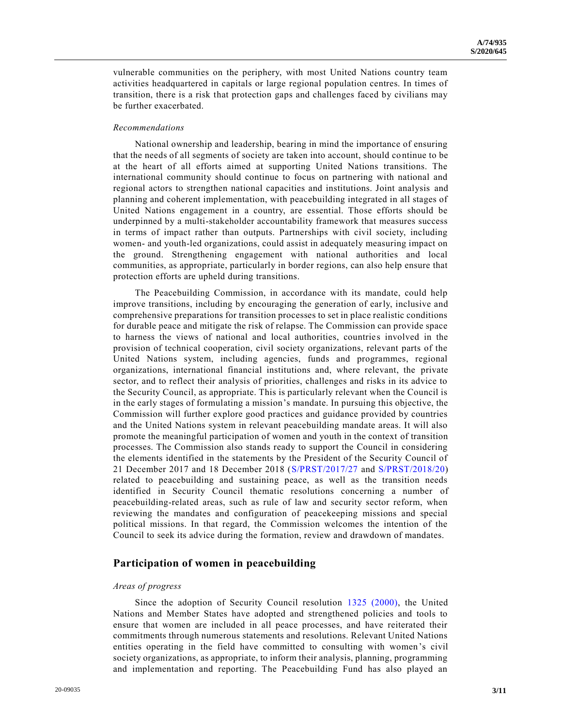vulnerable communities on the periphery, with most United Nations country team activities headquartered in capitals or large regional population centres. In times of transition, there is a risk that protection gaps and challenges faced by civilians may be further exacerbated.

### *Recommendations*

National ownership and leadership, bearing in mind the importance of ensuring that the needs of all segments of society are taken into account, should co ntinue to be at the heart of all efforts aimed at supporting United Nations transitions. The international community should continue to focus on partnering with national and regional actors to strengthen national capacities and institutions. Joint analysis and planning and coherent implementation, with peacebuilding integrated in all stages of United Nations engagement in a country, are essential. Those efforts should be underpinned by a multi-stakeholder accountability framework that measures success in terms of impact rather than outputs. Partnerships with civil society, including women- and youth-led organizations, could assist in adequately measuring impact on the ground. Strengthening engagement with national authorities and local communities, as appropriate, particularly in border regions, can also help ensure that protection efforts are upheld during transitions.

The Peacebuilding Commission, in accordance with its mandate, could help improve transitions, including by encouraging the generation of early, inclusive and comprehensive preparations for transition processes to set in place realistic conditions for durable peace and mitigate the risk of relapse. The Commission can provide space to harness the views of national and local authorities, countries involved in the provision of technical cooperation, civil society organizations, relevant parts of the United Nations system, including agencies, funds and programmes, regional organizations, international financial institutions and, where relevant, the private sector, and to reflect their analysis of priorities, challenges and risks in its advice to the Security Council, as appropriate. This is particularly relevant when the Council is in the early stages of formulating a mission's mandate. In pursuing this objective, the Commission will further explore good practices and guidance provided by countries and the United Nations system in relevant peacebuilding mandate areas. It will also promote the meaningful participation of women and youth in the context of transition processes. The Commission also stands ready to support the Council in considering the elements identified in the statements by the President of the Security Council of 21 December 2017 and 18 December 2018 [\(S/PRST/2017/27](https://undocs.org/en/S/PRST/2017/27) and [S/PRST/2018/20\)](https://undocs.org/en/S/PRST/2018/20) related to peacebuilding and sustaining peace, as well as the transition needs identified in Security Council thematic resolutions concerning a number of peacebuilding-related areas, such as rule of law and security sector reform, when reviewing the mandates and configuration of peacekeeping missions and special political missions. In that regard, the Commission welcomes the intention of the Council to seek its advice during the formation, review and drawdown of mandates.

# **Participation of women in peacebuilding**

### *Areas of progress*

Since the adoption of Security Council resolution [1325 \(2000\),](https://undocs.org/en/S/RES/1325(2000)) the United Nations and Member States have adopted and strengthened policies and tools to ensure that women are included in all peace processes, and have reiterated their commitments through numerous statements and resolutions. Relevant United Nations entities operating in the field have committed to consulting with women's civil society organizations, as appropriate, to inform their analysis, planning, programming and implementation and reporting. The Peacebuilding Fund has also played an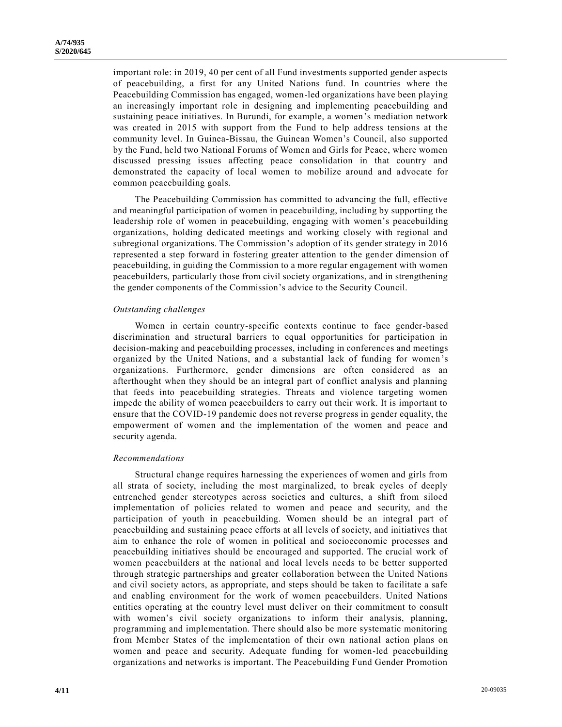important role: in 2019, 40 per cent of all Fund investments supported gender aspects of peacebuilding, a first for any United Nations fund. In countries where the Peacebuilding Commission has engaged, women-led organizations have been playing an increasingly important role in designing and implementing peacebuilding and sustaining peace initiatives. In Burundi, for example, a women's mediation network was created in 2015 with support from the Fund to help address tensions at the community level. In Guinea-Bissau, the Guinean Women's Council, also supported by the Fund, held two National Forums of Women and Girls for Peace, where women discussed pressing issues affecting peace consolidation in that country and demonstrated the capacity of local women to mobilize around and advocate for common peacebuilding goals.

The Peacebuilding Commission has committed to advancing the full, effective and meaningful participation of women in peacebuilding, including by supporting the leadership role of women in peacebuilding, engaging with women's peacebuilding organizations, holding dedicated meetings and working closely with regional and subregional organizations. The Commission's adoption of its gender strategy in 2016 represented a step forward in fostering greater attention to the gender dimension of peacebuilding, in guiding the Commission to a more regular engagement with women peacebuilders, particularly those from civil society organizations, and in strengthening the gender components of the Commission's advice to the Security Council.

### *Outstanding challenges*

Women in certain country-specific contexts continue to face gender-based discrimination and structural barriers to equal opportunities for participation in decision-making and peacebuilding processes, including in conferences and meetings organized by the United Nations, and a substantial lack of funding for women's organizations. Furthermore, gender dimensions are often considered as an afterthought when they should be an integral part of conflict analysis and planning that feeds into peacebuilding strategies. Threats and violence targeting women impede the ability of women peacebuilders to carry out their work. It is important to ensure that the COVID-19 pandemic does not reverse progress in gender equality, the empowerment of women and the implementation of the women and peace and security agenda.

### *Recommendations*

Structural change requires harnessing the experiences of women and girls from all strata of society, including the most marginalized, to break cycles of deeply entrenched gender stereotypes across societies and cultures, a shift from siloed implementation of policies related to women and peace and security, and the participation of youth in peacebuilding. Women should be an integral part of peacebuilding and sustaining peace efforts at all levels of society, and initiatives that aim to enhance the role of women in political and socioeconomic processes and peacebuilding initiatives should be encouraged and supported. The crucial work of women peacebuilders at the national and local levels needs to be better supported through strategic partnerships and greater collaboration between the United Nations and civil society actors, as appropriate, and steps should be taken to facilitate a safe and enabling environment for the work of women peacebuilders. United Nations entities operating at the country level must deliver on their commitment to consult with women's civil society organizations to inform their analysis, planning, programming and implementation. There should also be more systematic monitoring from Member States of the implementation of their own national action plans on women and peace and security. Adequate funding for women-led peacebuilding organizations and networks is important. The Peacebuilding Fund Gender Promotion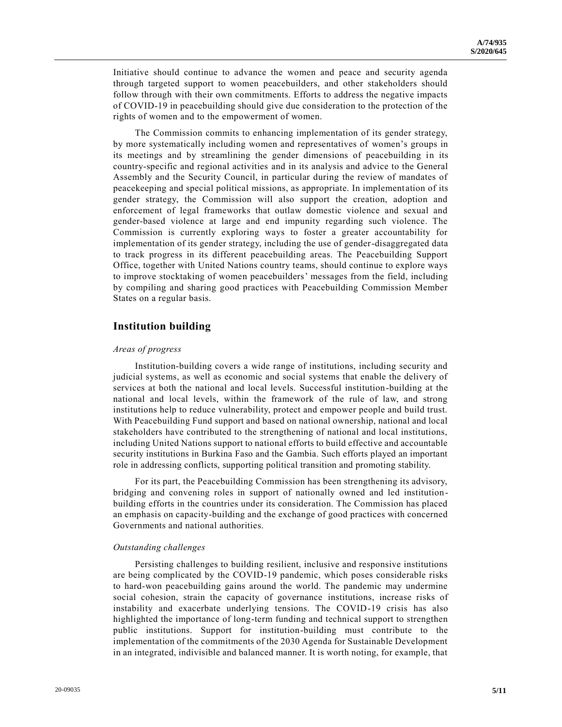Initiative should continue to advance the women and peace and security agenda through targeted support to women peacebuilders, and other stakeholders should follow through with their own commitments. Efforts to address the negative impacts of COVID-19 in peacebuilding should give due consideration to the protection of the rights of women and to the empowerment of women.

The Commission commits to enhancing implementation of its gender strategy, by more systematically including women and representatives of women's groups in its meetings and by streamlining the gender dimensions of peacebuilding in its country-specific and regional activities and in its analysis and advice to the General Assembly and the Security Council, in particular during the review of mandates of peacekeeping and special political missions, as appropriate. In implement ation of its gender strategy, the Commission will also support the creation, adoption and enforcement of legal frameworks that outlaw domestic violence and sexual and gender-based violence at large and end impunity regarding such violence. The Commission is currently exploring ways to foster a greater accountability for implementation of its gender strategy, including the use of gender-disaggregated data to track progress in its different peacebuilding areas. The Peacebuilding Support Office, together with United Nations country teams, should continue to explore ways to improve stocktaking of women peacebuilders' messages from the field, including by compiling and sharing good practices with Peacebuilding Commission Member States on a regular basis.

# **Institution building**

### *Areas of progress*

Institution-building covers a wide range of institutions, including security and judicial systems, as well as economic and social systems that enable the delivery of services at both the national and local levels. Successful institution-building at the national and local levels, within the framework of the rule of law, and strong institutions help to reduce vulnerability, protect and empower people and build trust. With Peacebuilding Fund support and based on national ownership, national and local stakeholders have contributed to the strengthening of national and local institutions, including United Nations support to national efforts to build effective and accountable security institutions in Burkina Faso and the Gambia. Such efforts played an important role in addressing conflicts, supporting political transition and promoting stability.

For its part, the Peacebuilding Commission has been strengthening its advisory, bridging and convening roles in support of nationally owned and led institutionbuilding efforts in the countries under its consideration. The Commission has placed an emphasis on capacity-building and the exchange of good practices with concerned Governments and national authorities.

#### *Outstanding challenges*

Persisting challenges to building resilient, inclusive and responsive institutions are being complicated by the COVID-19 pandemic, which poses considerable risks to hard-won peacebuilding gains around the world. The pandemic may undermine social cohesion, strain the capacity of governance institutions, increase risks of instability and exacerbate underlying tensions. The COVID-19 crisis has also highlighted the importance of long-term funding and technical support to strengthen public institutions. Support for institution-building must contribute to the implementation of the commitments of the 2030 Agenda for Sustainable Development in an integrated, indivisible and balanced manner. It is worth noting, for example, that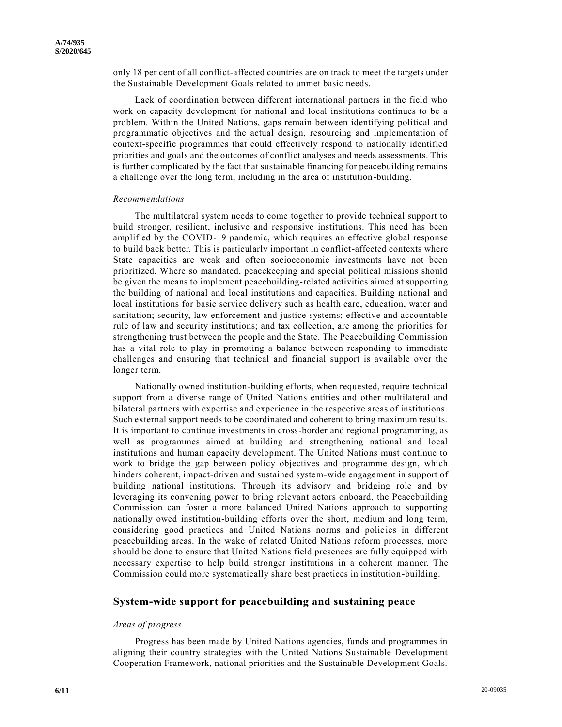only 18 per cent of all conflict-affected countries are on track to meet the targets under the Sustainable Development Goals related to unmet basic needs.

Lack of coordination between different international partners in the field who work on capacity development for national and local institutions continues to be a problem. Within the United Nations, gaps remain between identifying political and programmatic objectives and the actual design, resourcing and implementation of context-specific programmes that could effectively respond to nationally identified priorities and goals and the outcomes of conflict analyses and needs assessments. This is further complicated by the fact that sustainable financing for peacebuilding remains a challenge over the long term, including in the area of institution-building.

### *Recommendations*

The multilateral system needs to come together to provide technical support to build stronger, resilient, inclusive and responsive institutions. This need has been amplified by the COVID-19 pandemic, which requires an effective global response to build back better. This is particularly important in conflict-affected contexts where State capacities are weak and often socioeconomic investments have not been prioritized. Where so mandated, peacekeeping and special political missions should be given the means to implement peacebuilding-related activities aimed at supporting the building of national and local institutions and capacities. Building national and local institutions for basic service delivery such as health care, education, water and sanitation; security, law enforcement and justice systems; effective and accountable rule of law and security institutions; and tax collection, are among the priorities for strengthening trust between the people and the State. The Peacebuilding Commission has a vital role to play in promoting a balance between responding to immediate challenges and ensuring that technical and financial support is available over the longer term.

Nationally owned institution-building efforts, when requested, require technical support from a diverse range of United Nations entities and other multilateral and bilateral partners with expertise and experience in the respective areas of institutions. Such external support needs to be coordinated and coherent to bring maximum results. It is important to continue investments in cross-border and regional programming, as well as programmes aimed at building and strengthening national and local institutions and human capacity development. The United Nations must continue to work to bridge the gap between policy objectives and programme design, which hinders coherent, impact-driven and sustained system-wide engagement in support of building national institutions. Through its advisory and bridging role and by leveraging its convening power to bring relevant actors onboard, the Peacebuilding Commission can foster a more balanced United Nations approach to supporting nationally owed institution-building efforts over the short, medium and long term, considering good practices and United Nations norms and policies in different peacebuilding areas. In the wake of related United Nations reform processes, more should be done to ensure that United Nations field presences are fully equipped with necessary expertise to help build stronger institutions in a coherent manner. The Commission could more systematically share best practices in institution-building.

## **System-wide support for peacebuilding and sustaining peace**

## *Areas of progress*

Progress has been made by United Nations agencies, funds and programmes in aligning their country strategies with the United Nations Sustainable Development Cooperation Framework, national priorities and the Sustainable Development Goals.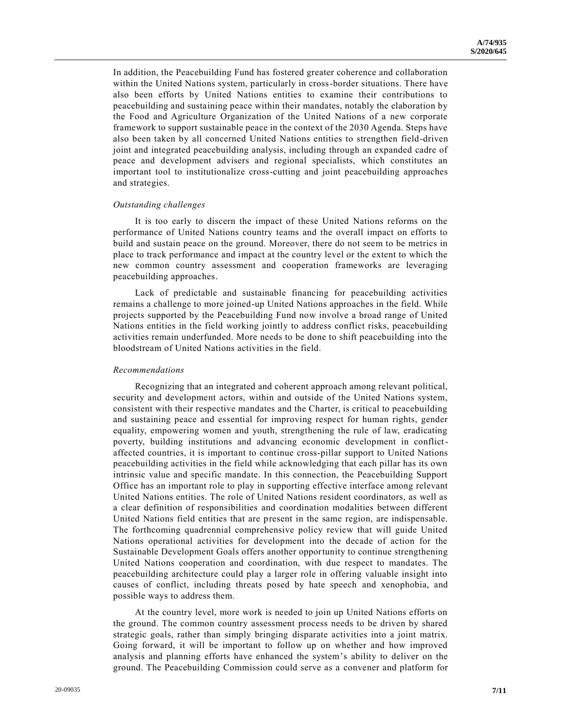In addition, the Peacebuilding Fund has fostered greater coherence and collaboration within the United Nations system, particularly in cross-border situations. There have also been efforts by United Nations entities to examine their contributions to peacebuilding and sustaining peace within their mandates, notably the elaboration by the Food and Agriculture Organization of the United Nations of a new corporate framework to support sustainable peace in the context of the 2030 Agenda. Steps have also been taken by all concerned United Nations entities to strengthen field-driven joint and integrated peacebuilding analysis, including through an expanded cadre of peace and development advisers and regional specialists, which constitutes an important tool to institutionalize cross-cutting and joint peacebuilding approaches and strategies.

#### *Outstanding challenges*

It is too early to discern the impact of these United Nations reforms on the performance of United Nations country teams and the overall impact on efforts to build and sustain peace on the ground. Moreover, there do not seem to be metrics in place to track performance and impact at the country level or the extent to which the new common country assessment and cooperation frameworks are leveraging peacebuilding approaches.

Lack of predictable and sustainable financing for peacebuilding activities remains a challenge to more joined-up United Nations approaches in the field. While projects supported by the Peacebuilding Fund now involve a broad range of United Nations entities in the field working jointly to address conflict risks, peacebuilding activities remain underfunded. More needs to be done to shift peacebuilding into the bloodstream of United Nations activities in the field.

#### *Recommendations*

Recognizing that an integrated and coherent approach among relevant political, security and development actors, within and outside of the United Nations system, consistent with their respective mandates and the Charter, is critical to peacebuilding and sustaining peace and essential for improving respect for human rights, gender equality, empowering women and youth, strengthening the rule of law, eradicating poverty, building institutions and advancing economic development in conflictaffected countries, it is important to continue cross-pillar support to United Nations peacebuilding activities in the field while acknowledging that each pillar has its own intrinsic value and specific mandate. In this connection, the Peacebuilding Support Office has an important role to play in supporting effective interface among relevant United Nations entities. The role of United Nations resident coordinators, as well as a clear definition of responsibilities and coordination modalities between different United Nations field entities that are present in the same region, are indispensable. The forthcoming quadrennial comprehensive policy review that will guide United Nations operational activities for development into the decade of action for the Sustainable Development Goals offers another opportunity to continue strengthening United Nations cooperation and coordination, with due respect to mandates. The peacebuilding architecture could play a larger role in offering valuable insight into causes of conflict, including threats posed by hate speech and xenophobia, and possible ways to address them.

At the country level, more work is needed to join up United Nations efforts on the ground. The common country assessment process needs to be driven by shared strategic goals, rather than simply bringing disparate activities into a joint matrix. Going forward, it will be important to follow up on whether and how improved analysis and planning efforts have enhanced the system's ability to deliver on the ground. The Peacebuilding Commission could serve as a convener and platform for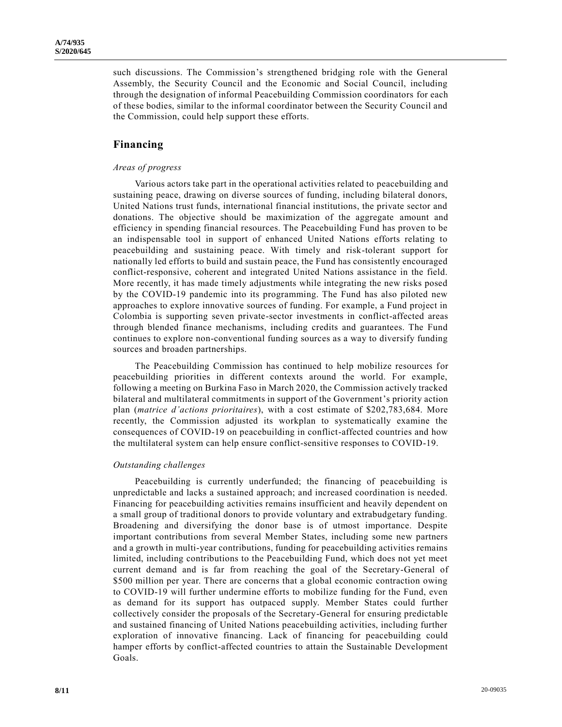such discussions. The Commission's strengthened bridging role with the General Assembly, the Security Council and the Economic and Social Council, including through the designation of informal Peacebuilding Commission coordinators for each of these bodies, similar to the informal coordinator between the Security Council and the Commission, could help support these efforts.

# **Financing**

### *Areas of progress*

Various actors take part in the operational activities related to peacebuilding and sustaining peace, drawing on diverse sources of funding, including bilateral donors, United Nations trust funds, international financial institutions, the private sector and donations. The objective should be maximization of the aggregate amount and efficiency in spending financial resources. The Peacebuilding Fund has proven to be an indispensable tool in support of enhanced United Nations efforts relating to peacebuilding and sustaining peace. With timely and risk-tolerant support for nationally led efforts to build and sustain peace, the Fund has consistently encouraged conflict-responsive, coherent and integrated United Nations assistance in the field. More recently, it has made timely adjustments while integrating the new risks posed by the COVID-19 pandemic into its programming. The Fund has also piloted new approaches to explore innovative sources of funding. For example, a Fund project in Colombia is supporting seven private-sector investments in conflict-affected areas through blended finance mechanisms, including credits and guarantees. The Fund continues to explore non-conventional funding sources as a way to diversify funding sources and broaden partnerships.

The Peacebuilding Commission has continued to help mobilize resources for peacebuilding priorities in different contexts around the world. For example, following a meeting on Burkina Faso in March 2020, the Commission actively tracked bilateral and multilateral commitments in support of the Government's priority action plan (*matrice d'actions prioritaires*), with a cost estimate of \$202,783,684. More recently, the Commission adjusted its workplan to systematically examine the consequences of COVID-19 on peacebuilding in conflict-affected countries and how the multilateral system can help ensure conflict-sensitive responses to COVID-19.

### *Outstanding challenges*

Peacebuilding is currently underfunded; the financing of peacebuilding is unpredictable and lacks a sustained approach; and increased coordination is needed. Financing for peacebuilding activities remains insufficient and heavily dependent on a small group of traditional donors to provide voluntary and extrabudgetary funding. Broadening and diversifying the donor base is of utmost importance. Despite important contributions from several Member States, including some new partners and a growth in multi-year contributions, funding for peacebuilding activities remains limited, including contributions to the Peacebuilding Fund, which does not yet meet current demand and is far from reaching the goal of the Secretary-General of \$500 million per year. There are concerns that a global economic contraction owing to COVID-19 will further undermine efforts to mobilize funding for the Fund, even as demand for its support has outpaced supply. Member States could further collectively consider the proposals of the Secretary-General for ensuring predictable and sustained financing of United Nations peacebuilding activities, including further exploration of innovative financing. Lack of financing for peacebuilding could hamper efforts by conflict-affected countries to attain the Sustainable Development Goals.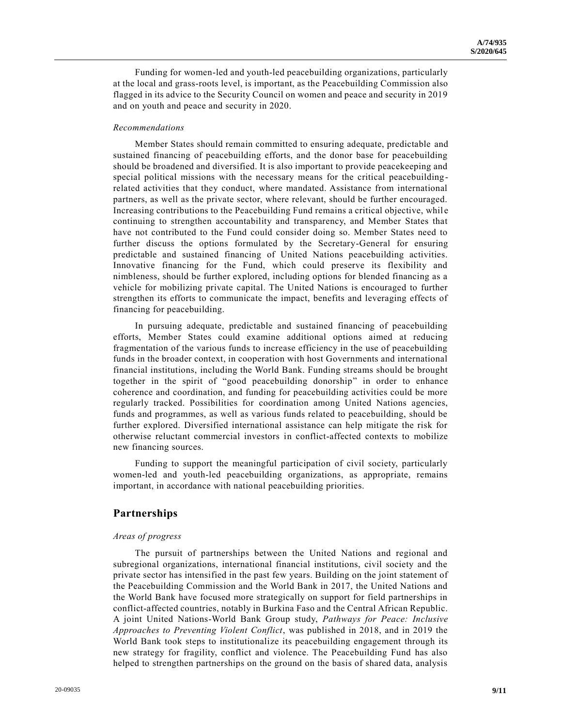Funding for women-led and youth-led peacebuilding organizations, particularly at the local and grass-roots level, is important, as the Peacebuilding Commission also flagged in its advice to the Security Council on women and peace and security in 2019 and on youth and peace and security in 2020.

## *Recommendations*

Member States should remain committed to ensuring adequate, predictable and sustained financing of peacebuilding efforts, and the donor base for peacebuilding should be broadened and diversified. It is also important to provide peacekeeping and special political missions with the necessary means for the critical peacebuildingrelated activities that they conduct, where mandated. Assistance from international partners, as well as the private sector, where relevant, should be further encouraged. Increasing contributions to the Peacebuilding Fund remains a critical objective, whil e continuing to strengthen accountability and transparency, and Member States that have not contributed to the Fund could consider doing so. Member States need to further discuss the options formulated by the Secretary-General for ensuring predictable and sustained financing of United Nations peacebuilding activities. Innovative financing for the Fund, which could preserve its flexibility and nimbleness, should be further explored, including options for blended financing as a vehicle for mobilizing private capital. The United Nations is encouraged to further strengthen its efforts to communicate the impact, benefits and leveraging effects of financing for peacebuilding.

In pursuing adequate, predictable and sustained financing of peacebuilding efforts, Member States could examine additional options aimed at reducing fragmentation of the various funds to increase efficiency in the use of peacebuilding funds in the broader context, in cooperation with host Governments and international financial institutions, including the World Bank. Funding streams should be brought together in the spirit of "good peacebuilding donorship" in order to enhance coherence and coordination, and funding for peacebuilding activities could be more regularly tracked. Possibilities for coordination among United Nations agencies, funds and programmes, as well as various funds related to peacebuilding, should be further explored. Diversified international assistance can help mitigate the risk for otherwise reluctant commercial investors in conflict-affected contexts to mobilize new financing sources.

Funding to support the meaningful participation of civil society, particularly women-led and youth-led peacebuilding organizations, as appropriate, remains important, in accordance with national peacebuilding priorities.

# **Partnerships**

## *Areas of progress*

The pursuit of partnerships between the United Nations and regional and subregional organizations, international financial institutions, civil society and the private sector has intensified in the past few years. Building on the joint statement of the Peacebuilding Commission and the World Bank in 2017, the United Nations and the World Bank have focused more strategically on support for field partnerships in conflict-affected countries, notably in Burkina Faso and the Central African Republic. A joint United Nations-World Bank Group study, *Pathways for Peace: Inclusive Approaches to Preventing Violent Conflict*, was published in 2018, and in 2019 the World Bank took steps to institutionalize its peacebuilding engagement through its new strategy for fragility, conflict and violence. The Peacebuilding Fund has also helped to strengthen partnerships on the ground on the basis of shared data, analysis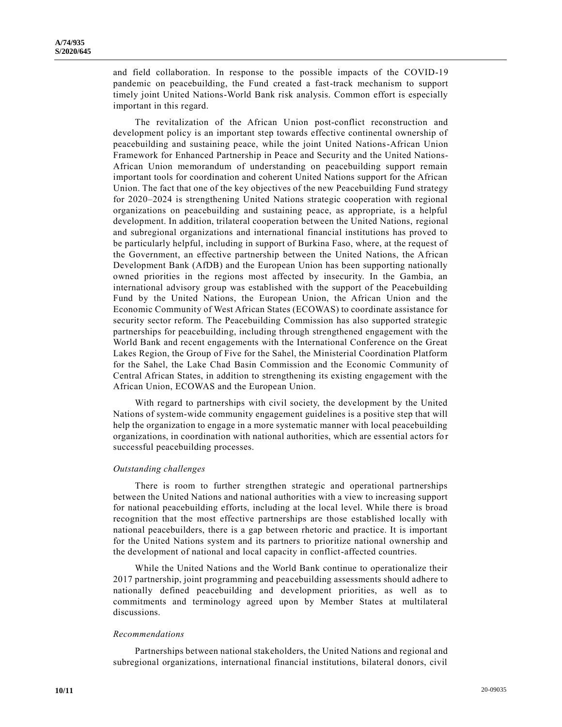and field collaboration. In response to the possible impacts of the COVID-19 pandemic on peacebuilding, the Fund created a fast-track mechanism to support timely joint United Nations-World Bank risk analysis. Common effort is especially important in this regard.

The revitalization of the African Union post-conflict reconstruction and development policy is an important step towards effective continental ownership of peacebuilding and sustaining peace, while the joint United Nations-African Union Framework for Enhanced Partnership in Peace and Security and the United Nations-African Union memorandum of understanding on peacebuilding support remain important tools for coordination and coherent United Nations support for the African Union. The fact that one of the key objectives of the new Peacebuilding Fund strategy for 2020–2024 is strengthening United Nations strategic cooperation with regional organizations on peacebuilding and sustaining peace, as appropriate, is a helpful development. In addition, trilateral cooperation between the United Nations, regional and subregional organizations and international financial institutions has proved to be particularly helpful, including in support of Burkina Faso, where, at the request of the Government, an effective partnership between the United Nations, the African Development Bank (AfDB) and the European Union has been supporting nationally owned priorities in the regions most affected by insecurity. In the Gambia, an international advisory group was established with the support of the Peacebuilding Fund by the United Nations, the European Union, the African Union and the Economic Community of West African States (ECOWAS) to coordinate assistance for security sector reform. The Peacebuilding Commission has also supported strategic partnerships for peacebuilding, including through strengthened engagement with the World Bank and recent engagements with the International Conference on the Great Lakes Region, the Group of Five for the Sahel, the Ministerial Coordination Platform for the Sahel, the Lake Chad Basin Commission and the Economic Community of Central African States, in addition to strengthening its existing engagement with the African Union, ECOWAS and the European Union.

With regard to partnerships with civil society, the development by the United Nations of system-wide community engagement guidelines is a positive step that will help the organization to engage in a more systematic manner with local peacebuilding organizations, in coordination with national authorities, which are essential actors fo r successful peacebuilding processes.

#### *Outstanding challenges*

There is room to further strengthen strategic and operational partnerships between the United Nations and national authorities with a view to increasing support for national peacebuilding efforts, including at the local level. While there is broad recognition that the most effective partnerships are those established locally with national peacebuilders, there is a gap between rhetoric and practice. It is important for the United Nations system and its partners to prioritize national ownership and the development of national and local capacity in conflict-affected countries.

While the United Nations and the World Bank continue to operationalize their 2017 partnership, joint programming and peacebuilding assessments should adhere to nationally defined peacebuilding and development priorities, as well as to commitments and terminology agreed upon by Member States at multilateral discussions.

#### *Recommendations*

Partnerships between national stakeholders, the United Nations and regional and subregional organizations, international financial institutions, bilateral donors, civil